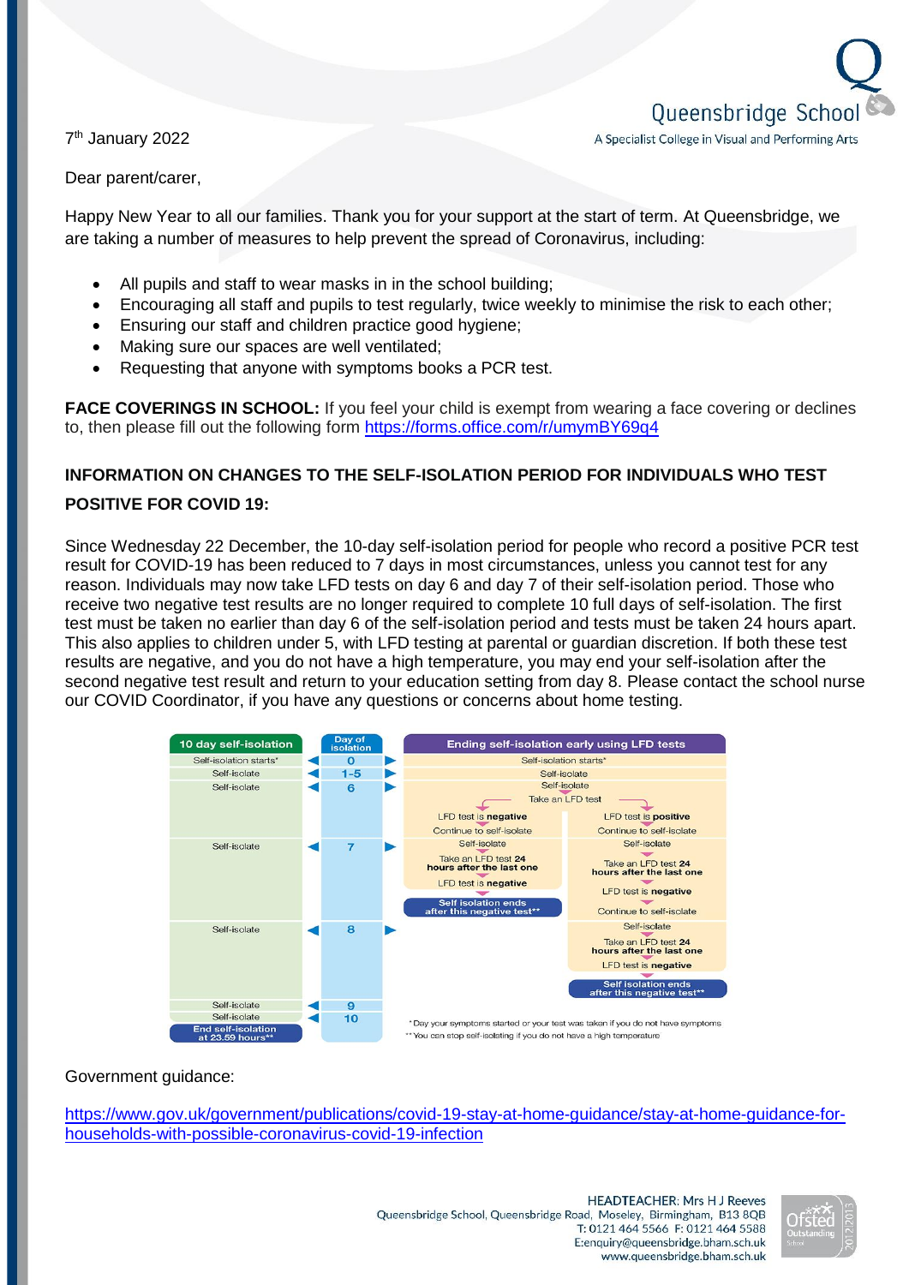Queensbridge Schoo A Specialist College in Visual and Performing Arts

7<sup>th</sup> January 2022

Dear parent/carer,

Happy New Year to all our families. Thank you for your support at the start of term. At Queensbridge, we are taking a number of measures to help prevent the spread of Coronavirus, including:

- All pupils and staff to wear masks in in the school building;
- Encouraging all staff and pupils to test regularly, twice weekly to minimise the risk to each other;
- Ensuring our staff and children practice good hygiene;
- Making sure our spaces are well ventilated;
- Requesting that anyone with symptoms books a PCR test.

**FACE COVERINGS IN SCHOOL:** If you feel your child is exempt from wearing a face covering or declines to, then please fill out the following form<https://forms.office.com/r/umymBY69q4>

## **INFORMATION ON CHANGES TO THE SELF-ISOLATION PERIOD FOR INDIVIDUALS WHO TEST**

## **POSITIVE FOR COVID 19:**

Since Wednesday 22 December, the 10-day self-isolation period for people who record a positive PCR test result for COVID-19 has been reduced to 7 days in most circumstances, unless you cannot test for any reason. Individuals may now take LFD tests on day 6 and day 7 of their self-isolation period. Those who receive two negative test results are no longer required to complete 10 full days of self-isolation. The first test must be taken no earlier than day 6 of the self-isolation period and tests must be taken 24 hours apart. This also applies to children under 5, with LFD testing at parental or guardian discretion. If both these test results are negative, and you do not have a high temperature, you may end your self-isolation after the second negative test result and return to your education setting from day 8. Please contact the school nurse our COVID Coordinator, if you have any questions or concerns about home testing.



## Government guidance:

[https://www.gov.uk/government/publications/covid-19-stay-at-home-guidance/stay-at-home-guidance-for](https://www.gov.uk/government/publications/covid-19-stay-at-home-guidance/stay-at-home-guidance-for-households-with-possible-coronavirus-covid-19-infection)[households-with-possible-coronavirus-covid-19-infection](https://www.gov.uk/government/publications/covid-19-stay-at-home-guidance/stay-at-home-guidance-for-households-with-possible-coronavirus-covid-19-infection)